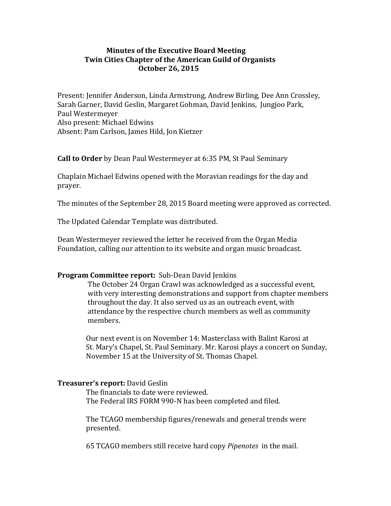#### **Minutes of the Executive Board Meeting Twin Cities Chapter of the American Guild of Organists October 26, 2015**

Present: Jennifer Anderson, Linda Armstrong, Andrew Birling, Dee Ann Crossley, Sarah Garner, David Geslin, Margaret Gohman, David Jenkins, Jungjoo Park, Paul Westermeyer Also present: Michael Edwins Absent: Pam Carlson, James Hild, Jon Kietzer

**Call to Order** by Dean Paul Westermeyer at 6:35 PM, St Paul Seminary

Chaplain Michael Edwins opened with the Moravian readings for the day and prayer. 

The minutes of the September 28, 2015 Board meeting were approved as corrected.

The Updated Calendar Template was distributed.

Dean Westermeyer reviewed the letter he received from the Organ Media Foundation, calling our attention to its website and organ music broadcast.

## **Program Committee report:** Sub-Dean David Jenkins

The October 24 Organ Crawl was acknowledged as a successful event, with very interesting demonstrations and support from chapter members throughout the day. It also served us as an outreach event, with attendance by the respective church members as well as community members.

Our next event is on November 14: Masterclass with Balint Karosi at St. Mary's Chapel, St. Paul Seminary. Mr. Karosi plays a concert on Sunday, November 15 at the University of St. Thomas Chapel.

## **Treasurer's report: David Geslin**

The financials to date were reviewed. The Federal IRS FORM 990-N has been completed and filed.

The TCAGO membership figures/renewals and general trends were presented. 

 65 TCAGO members still receive hard copy *Pipenotes* in the mail.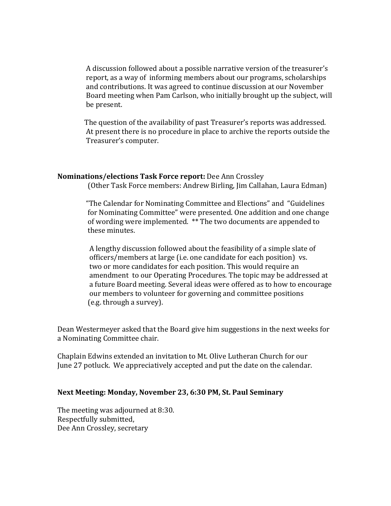A discussion followed about a possible narrative version of the treasurer's report, as a way of informing members about our programs, scholarships and contributions. It was agreed to continue discussion at our November Board meeting when Pam Carlson, who initially brought up the subject, will be present.

The question of the availability of past Treasurer's reports was addressed. At present there is no procedure in place to archive the reports outside the Treasurer's computer.

# **Nominations/elections Task Force report:** Dee Ann Crossley

(Other Task Force members: Andrew Birling, Jim Callahan, Laura Edman)

"The Calendar for Nominating Committee and Elections" and "Guidelines" for Nominating Committee" were presented. One addition and one change of wording were implemented. \*\* The two documents are appended to these minutes.

A lengthy discussion followed about the feasibility of a simple slate of officers/members at large (i.e. one candidate for each position) vs. two or more candidates for each position. This would require an amendment to our Operating Procedures. The topic may be addressed at a future Board meeting. Several ideas were offered as to how to encourage our members to volunteer for governing and committee positions (e.g. through a survey).

Dean Westermeyer asked that the Board give him suggestions in the next weeks for a Nominating Committee chair.

Chaplain Edwins extended an invitation to Mt. Olive Lutheran Church for our June 27 potluck. We appreciatively accepted and put the date on the calendar.

## **Next Meeting: Monday, November 23, 6:30 PM, St. Paul Seminary**

The meeting was adjourned at 8:30. Respectfully submitted, Dee Ann Crossley, secretary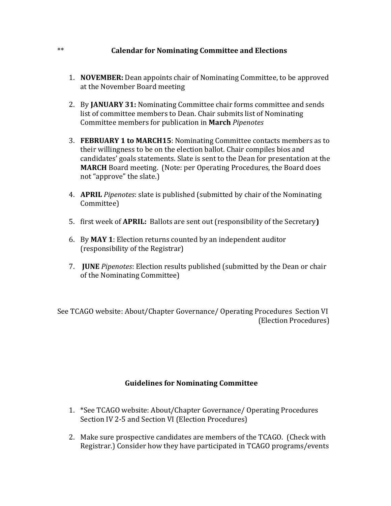## \*\* **Solution Calendar for Nominating Committee and Elections**

- 1. **NOVEMBER:** Dean appoints chair of Nominating Committee, to be approved at the November Board meeting
- 2. By **JANUARY 31:** Nominating Committee chair forms committee and sends list of committee members to Dean. Chair submits list of Nominating Committee members for publication in **March** *Pipenotes*
- 3. **FEBRUARY 1 to MARCH15**: Nominating Committee contacts members as to their willingness to be on the election ballot. Chair compiles bios and candidates' goals statements. Slate is sent to the Dean for presentation at the **MARCH** Board meeting. (Note: per Operating Procedures, the Board does not "approve" the slate.)
- 4. **APRIL** *Pipenotes*: slate is published (submitted by chair of the Nominating Committee)
- 5. first week of **APRIL**: Ballots are sent out (responsibility of the Secretary)
- 6. By **MAY 1**: Election returns counted by an independent auditor (responsibility of the Registrar)
- 7. **JUNE** *Pipenotes*: Election results published (submitted by the Dean or chair of the Nominating Committee)

See TCAGO website: About/Chapter Governance/ Operating Procedures Section VI (Election Procedures) 

## **Guidelines for Nominating Committee**

- 1. \*See TCAGO website: About/Chapter Governance/ Operating Procedures Section IV 2-5 and Section VI (Election Procedures)
- 2. Make sure prospective candidates are members of the TCAGO. (Check with Registrar.) Consider how they have participated in TCAGO programs/events